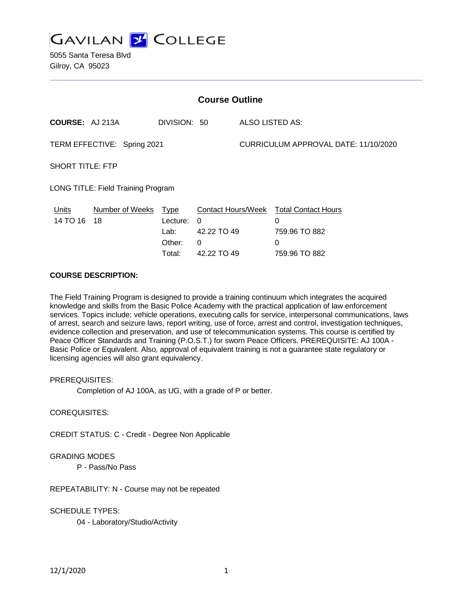

5055 Santa Teresa Blvd Gilroy, CA 95023

| <b>Course Outline</b>              |                         |                                                     |                                                                          |                                      |                                                                        |
|------------------------------------|-------------------------|-----------------------------------------------------|--------------------------------------------------------------------------|--------------------------------------|------------------------------------------------------------------------|
| <b>COURSE: AJ 213A</b>             |                         | DIVISION: 50                                        |                                                                          | ALSO LISTED AS:                      |                                                                        |
| TERM EFFECTIVE: Spring 2021        |                         |                                                     |                                                                          | CURRICULUM APPROVAL DATE: 11/10/2020 |                                                                        |
| <b>SHORT TITLE: FTP</b>            |                         |                                                     |                                                                          |                                      |                                                                        |
| LONG TITLE: Field Training Program |                         |                                                     |                                                                          |                                      |                                                                        |
| <b>Units</b><br>14 TO 16           | Number of Weeks<br>- 18 | <u>Type</u><br>Lecture:<br>Lab:<br>Other:<br>Total: | <b>Contact Hours/Week</b><br>$\Omega$<br>42.22 TO 49<br>0<br>42.22 TO 49 |                                      | <b>Total Contact Hours</b><br>0<br>759.96 TO 882<br>0<br>759.96 TO 882 |

# **COURSE DESCRIPTION:**

The Field Training Program is designed to provide a training continuum which integrates the acquired knowledge and skills from the Basic Police Academy with the practical application of law enforcement services. Topics include: vehicle operations, executing calls for service, interpersonal communications, laws of arrest, search and seizure laws, report writing, use of force, arrest and control, investigation techniques, evidence collection and preservation, and use of telecommunication systems. This course is certified by Peace Officer Standards and Training (P.O.S.T.) for sworn Peace Officers. PREREQUISITE: AJ 100A - Basic Police or Equivalent. Also, approval of equivalent training is not a guarantee state regulatory or licensing agencies will also grant equivalency.

PREREQUISITES:

Completion of AJ 100A, as UG, with a grade of P or better.

COREQUISITES:

CREDIT STATUS: C - Credit - Degree Non Applicable

#### GRADING MODES

P - Pass/No Pass

REPEATABILITY: N - Course may not be repeated

SCHEDULE TYPES:

04 - Laboratory/Studio/Activity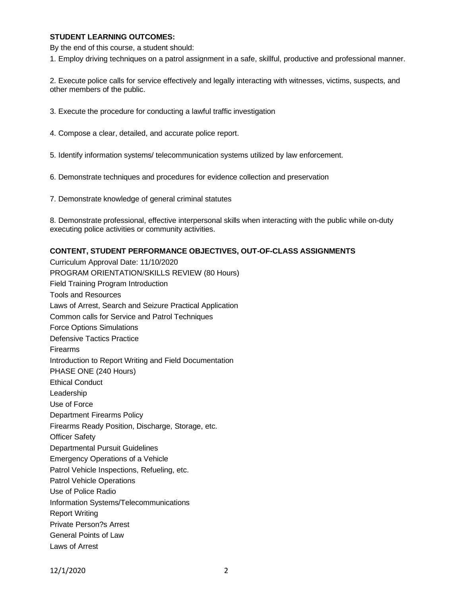### **STUDENT LEARNING OUTCOMES:**

By the end of this course, a student should:

1. Employ driving techniques on a patrol assignment in a safe, skillful, productive and professional manner.

2. Execute police calls for service effectively and legally interacting with witnesses, victims, suspects, and other members of the public.

3. Execute the procedure for conducting a lawful traffic investigation

- 4. Compose a clear, detailed, and accurate police report.
- 5. Identify information systems/ telecommunication systems utilized by law enforcement.
- 6. Demonstrate techniques and procedures for evidence collection and preservation
- 7. Demonstrate knowledge of general criminal statutes

8. Demonstrate professional, effective interpersonal skills when interacting with the public while on-duty executing police activities or community activities.

### **CONTENT, STUDENT PERFORMANCE OBJECTIVES, OUT-OF-CLASS ASSIGNMENTS**

Curriculum Approval Date: 11/10/2020 PROGRAM ORIENTATION/SKILLS REVIEW (80 Hours) Field Training Program Introduction Tools and Resources Laws of Arrest, Search and Seizure Practical Application Common calls for Service and Patrol Techniques Force Options Simulations Defensive Tactics Practice Firearms Introduction to Report Writing and Field Documentation PHASE ONE (240 Hours) Ethical Conduct Leadership Use of Force Department Firearms Policy Firearms Ready Position, Discharge, Storage, etc. Officer Safety Departmental Pursuit Guidelines Emergency Operations of a Vehicle Patrol Vehicle Inspections, Refueling, etc. Patrol Vehicle Operations Use of Police Radio Information Systems/Telecommunications Report Writing Private Person?s Arrest General Points of Law Laws of Arrest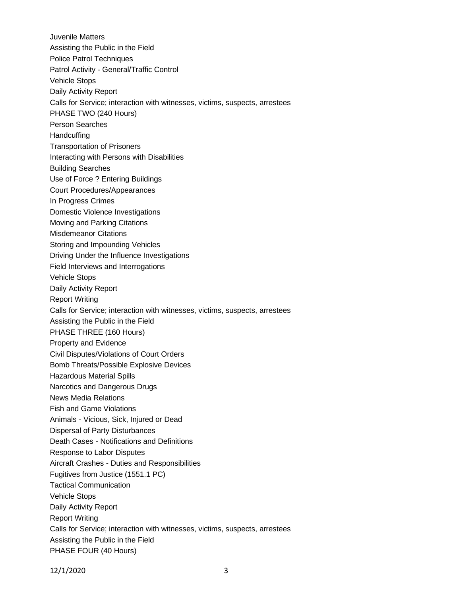Juvenile Matters Assisting the Public in the Field Police Patrol Techniques Patrol Activity - General/Traffic Control Vehicle Stops Daily Activity Report Calls for Service; interaction with witnesses, victims, suspects, arrestees PHASE TWO (240 Hours) Person Searches **Handcuffing** Transportation of Prisoners Interacting with Persons with Disabilities Building Searches Use of Force ? Entering Buildings Court Procedures/Appearances In Progress Crimes Domestic Violence Investigations Moving and Parking Citations Misdemeanor Citations Storing and Impounding Vehicles Driving Under the Influence Investigations Field Interviews and Interrogations Vehicle Stops Daily Activity Report Report Writing Calls for Service; interaction with witnesses, victims, suspects, arrestees Assisting the Public in the Field PHASE THREE (160 Hours) Property and Evidence Civil Disputes/Violations of Court Orders Bomb Threats/Possible Explosive Devices Hazardous Material Spills Narcotics and Dangerous Drugs News Media Relations Fish and Game Violations Animals - Vicious, Sick, Injured or Dead Dispersal of Party Disturbances Death Cases - Notifications and Definitions Response to Labor Disputes Aircraft Crashes - Duties and Responsibilities Fugitives from Justice (1551.1 PC) Tactical Communication Vehicle Stops Daily Activity Report Report Writing Calls for Service; interaction with witnesses, victims, suspects, arrestees Assisting the Public in the Field PHASE FOUR (40 Hours)

12/1/2020 3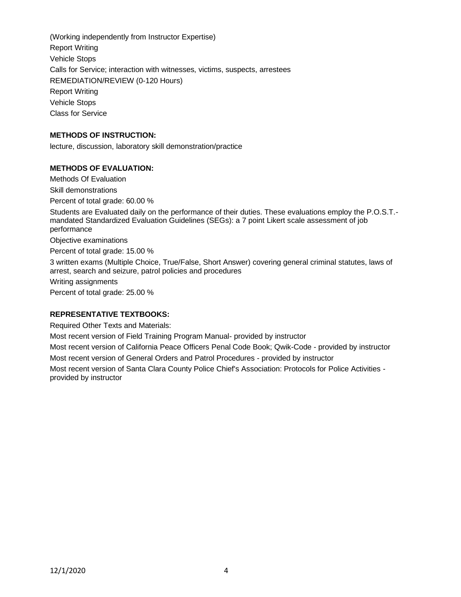(Working independently from Instructor Expertise) Report Writing Vehicle Stops Calls for Service; interaction with witnesses, victims, suspects, arrestees REMEDIATION/REVIEW (0-120 Hours) Report Writing Vehicle Stops Class for Service

### **METHODS OF INSTRUCTION:**

lecture, discussion, laboratory skill demonstration/practice

### **METHODS OF EVALUATION:**

Methods Of Evaluation

Skill demonstrations

Percent of total grade: 60.00 %

Students are Evaluated daily on the performance of their duties. These evaluations employ the P.O.S.T. mandated Standardized Evaluation Guidelines (SEGs): a 7 point Likert scale assessment of job performance

Objective examinations

Percent of total grade: 15.00 %

3 written exams (Multiple Choice, True/False, Short Answer) covering general criminal statutes, laws of arrest, search and seizure, patrol policies and procedures

Writing assignments

Percent of total grade: 25.00 %

#### **REPRESENTATIVE TEXTBOOKS:**

Required Other Texts and Materials:

Most recent version of Field Training Program Manual- provided by instructor

Most recent version of California Peace Officers Penal Code Book; Qwik-Code - provided by instructor Most recent version of General Orders and Patrol Procedures - provided by instructor

Most recent version of Santa Clara County Police Chief's Association: Protocols for Police Activities provided by instructor